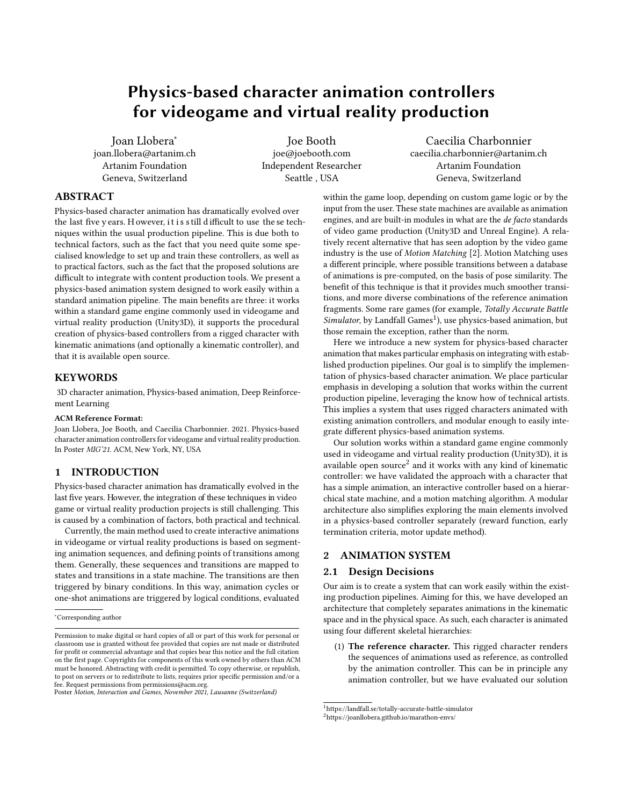# Physics-based character animation controllers for videogame and virtual reality production

Joan Llobera<sup>∗</sup> joan.llobera@artanim.ch Artanim Foundation Geneva, Switzerland

Joe Booth joe@joebooth.com Independent Researcher Seattle , USA

Caecilia Charbonnier caecilia.charbonnier@artanim.ch Artanim Foundation Geneva, Switzerland

# ABSTRACT

Physics-based character animation has dramatically evolved over the last five y ears. H owever, it is still d ifficult to use the se techniques within the usual production pipeline. This is due both to technical factors, such as the fact that you need quite some specialised knowledge to set up and train these controllers, as well as to practical factors, such as the fact that the proposed solutions are difficult to integrate with content production tools. We present a physics-based animation system designed to work easily within a standard animation pipeline. The main benefits are three: it works within a standard game engine commonly used in videogame and virtual reality production (Unity3D), it supports the procedural creation of physics-based controllers from a rigged character with kinematic animations (and optionally a kinematic controller), and that it is available open source.

#### KEYWORDS

3D character animation, Physics-based animation, Deep Reinforcement Learning

#### ACM Reference Format:

Joan Llobera, Joe Booth, and Caecilia Charbonnier. 2021. Physics-based character animation controllers for videogame and virtual reality production. In Poster MIG'21. ACM, New York, NY, USA

### 1 INTRODUCTION

Physics-based character animation has dramatically evolved in the last five years. However, the integration of these techniques in video game or virtual reality production projects is still challenging. This is caused by a combination of factors, both practical and technical.

Currently, the main method used to create interactive animations in videogame or virtual reality productions is based on segmenting animation sequences, and defining points of transitions among them. Generally, these sequences and transitions are mapped to states and transitions in a state machine. The transitions are then triggered by binary conditions. In this way, animation cycles or one-shot animations are triggered by logical conditions, evaluated

Poster Motion, Interaction and Games, November 2021, Lausanne (Switzerland)

within the game loop, depending on custom game logic or by the input from the user. These state machines are available as animation engines, and are built-in modules in what are the de facto standards of video game production (Unity3D and Unreal Engine). A relatively recent alternative that has seen adoption by the video game industry is the use of Motion Matching [\[2\]](#page-1-0). Motion Matching uses a different principle, where possible transitions between a database of animations is pre-computed, on the basis of pose similarity. The benefit of this technique is that it provides much smoother transitions, and more diverse combinations of the reference animation fragments. Some rare games (for example, Totally Accurate Battle Simulator, by Landfall Games<sup>[1](#page-0-0)</sup>), use physics-based animation, but those remain the exception, rather than the norm.

Here we introduce a new system for physics-based character animation that makes particular emphasis on integrating with established production pipelines. Our goal is to simplify the implementation of physics-based character animation. We place particular emphasis in developing a solution that works within the current production pipeline, leveraging the know how of technical artists. This implies a system that uses rigged characters animated with existing animation controllers, and modular enough to easily integrate different physics-based animation systems.

Our solution works within a standard game engine commonly used in videogame and virtual reality production (Unity3D), it is available open source $^2$  $^2$  and it works with any kind of kinematic controller: we have validated the approach with a character that has a simple animation, an interactive controller based on a hierarchical state machine, and a motion matching algorithm. A modular architecture also simplifies exploring the main elements involved in a physics-based controller separately (reward function, early termination criteria, motor update method).

## 2 ANIMATION SYSTEM

### 2.1 Design Decisions

Our aim is to create a system that can work easily within the existing production pipelines. Aiming for this, we have developed an architecture that completely separates animations in the kinematic space and in the physical space. As such, each character is animated using four different skeletal hierarchies:

(1) The reference character. This rigged character renders the sequences of animations used as reference, as controlled by the animation controller. This can be in principle any animation controller, but we have evaluated our solution

<sup>∗</sup>Corresponding author

Permission to make digital or hard copies of all or part of this work for personal or classroom use is granted without fee provided that copies are not made or distributed for profit or commercial advantage and that copies bear this notice and the full citation on the first page. Copyrights for components of this work owned by others than ACM must be honored. Abstracting with credit is permitted. To copy otherwise, or republish, to post on servers or to redistribute to lists, requires prior specific permission and/or a fee. Request permissions from permissions@acm.org.

<span id="page-0-0"></span><sup>1</sup><https://landfall.se/totally-accurate-battle-simulator>

<span id="page-0-1"></span><sup>2</sup><https://joanllobera.github.io/marathon-envs/>